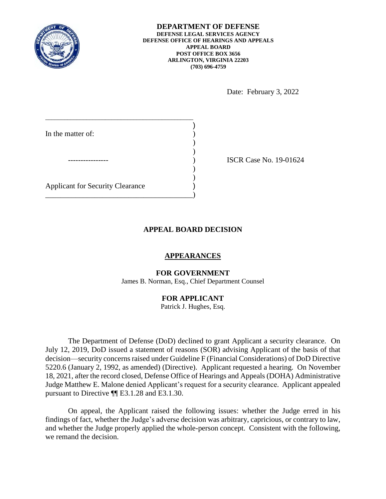

Date: February 3, 2022

| In the matter of:                       |  |
|-----------------------------------------|--|
|                                         |  |
|                                         |  |
|                                         |  |
| <b>Applicant for Security Clearance</b> |  |
|                                         |  |
|                                         |  |

ISCR Case No. 19-01624

## **APPEAL BOARD DECISION**

### **APPEARANCES**

#### **FOR GOVERNMENT**

James B. Norman, Esq., Chief Department Counsel

# **FOR APPLICANT**

Patrick J. Hughes, Esq.

 The Department of Defense (DoD) declined to grant Applicant a security clearance. On July 12, 2019, DoD issued a statement of reasons (SOR) advising Applicant of the basis of that decision—security concerns raised under Guideline F (Financial Considerations) of DoD Directive 18, 2021, after the record closed, Defense Office of Hearings and Appeals (DOHA) Administrative Judge Matthew E. Malone denied Applicant's request for a security clearance. Applicant appealed pursuant to Directive ¶¶ E3.1.28 and E3.1.30. 5220.6 (January 2, 1992, as amended) (Directive). Applicant requested a hearing. On November

 On appeal, the Applicant raised the following issues: whether the Judge erred in his and whether the Judge properly applied the whole-person concept. Consistent with the following, findings of fact, whether the Judge's adverse decision was arbitrary, capricious, or contrary to law, we remand the decision.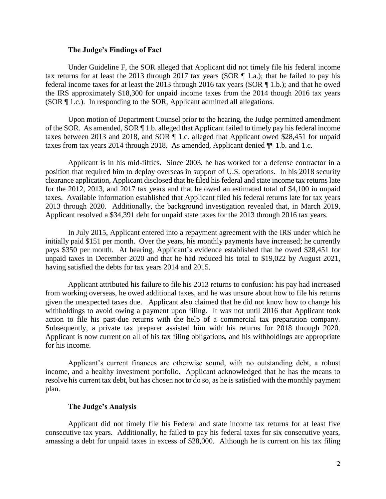#### **The Judge's Findings of Fact**

 Under Guideline F, the SOR alleged that Applicant did not timely file his federal income tax returns for at least the 2013 through 2017 tax years (SOR  $\P$  1.a.); that he failed to pay his federal income taxes for at least the 2013 through 2016 tax years (SOR ¶ 1.b.); and that he owed the IRS approximately \$18,300 for unpaid income taxes from the 2014 though 2016 tax years (SOR ¶ 1.c.). In responding to the SOR, Applicant admitted all allegations.

 of the SOR. As amended, SOR ¶ 1.b. alleged that Applicant failed to timely pay his federal income taxes between 2013 and 2018, and SOR ¶ 1.c. alleged that Applicant owed \$28,451 for unpaid taxes from tax years 2014 through 2018. As amended, Applicant denied ¶ 1.b. and 1.c. taxes from tax years 2014 through 2018. As amended, Applicant denied  $\P$  1.b. and 1.c.<br>Applicant is in his mid-fifties. Since 2003, he has worked for a defense contractor in a Upon motion of Department Counsel prior to the hearing, the Judge permitted amendment

 position that required him to deploy overseas in support of U.S. operations. In his 2018 security clearance application, Applicant disclosed that he filed his federal and state income tax returns late for the 2012, 2013, and 2017 tax years and that he owed an estimated total of \$4,100 in unpaid taxes. Available information established that Applicant filed his federal returns late for tax years 2013 through 2020. Additionally, the background investigation revealed that, in March 2019, Applicant resolved a \$34,391 debt for unpaid state taxes for the 2013 through 2016 tax years.<br>In July 2015, Applicant entered into a repayment agreement with the IRS under which he

 unpaid taxes in December 2020 and that he had reduced his total to \$19,022 by August 2021, initially paid \$151 per month. Over the years, his monthly payments have increased; he currently pays \$350 per month. At hearing, Applicant's evidence established that he owed \$28,451 for having satisfied the debts for tax years 2014 and 2015.

 withholdings to avoid owing a payment upon filing. It was not until 2016 that Applicant took action to file his past-due returns with the help of a commercial tax preparation company. Applicant is now current on all of his tax filing obligations, and his withholdings are appropriate for his income. for his income.<br>Applicant's current finances are otherwise sound, with no outstanding debt, a robust Applicant attributed his failure to file his 2013 returns to confusion: his pay had increased from working overseas, he owed additional taxes, and he was unsure about how to file his returns given the unexpected taxes due. Applicant also claimed that he did not know how to change his Subsequently, a private tax preparer assisted him with his returns for 2018 through 2020.

 income, and a healthy investment portfolio. Applicant acknowledged that he has the means to resolve his current tax debt, but has chosen not to do so, as he is satisfied with the monthly payment plan.

### **The Judge's Analysis**

 Applicant did not timely file his Federal and state income tax returns for at least five consecutive tax years. Additionally, he failed to pay his federal taxes for six consecutive years, amassing a debt for unpaid taxes in excess of \$28,000. Although he is current on his tax filing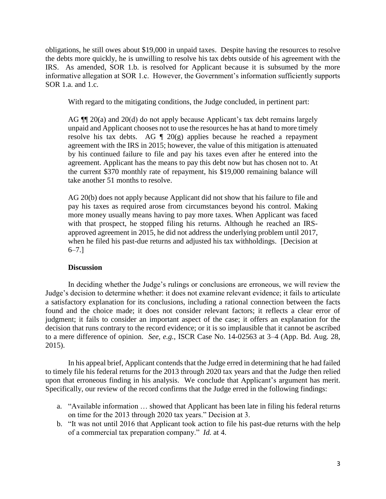obligations, he still owes about \$19,000 in unpaid taxes. Despite having the resources to resolve IRS. As amended, SOR 1.b. is resolved for Applicant because it is subsumed by the more the debts more quickly, he is unwilling to resolve his tax debts outside of his agreement with the informative allegation at SOR 1.c. However, the Government's information sufficiently supports SOR 1.a. and 1.c.

With regard to the mitigating conditions, the Judge concluded, in pertinent part:

AG  $\P$  20(a) and 20(d) do not apply because Applicant's tax debt remains largely unpaid and Applicant chooses not to use the resources he has at hand to more timely resolve his tax debts. AG  $\parallel$  20(g) applies because he reached a repayment agreement with the IRS in 2015; however, the value of this mitigation is attenuated by his continued failure to file and pay his taxes even after he entered into the the current \$370 monthly rate of repayment, his \$19,000 remaining balance will agreement. Applicant has the means to pay this debt now but has chosen not to. At take another 51 months to resolve.

 AG 20(b) does not apply because Applicant did not show that his failure to file and more money usually means having to pay more taxes. When Applicant was faced with that prospect, he stopped filing his returns. Although he reached an IRS- when he filed his past-due returns and adjusted his tax withholdings. [Decision at pay his taxes as required arose from circumstances beyond his control. Making approved agreement in 2015, he did not address the underlying problem until 2017, 6–7.]

## **Discussion**

 In deciding whether the Judge's rulings or conclusions are erroneous, we will review the a satisfactory explanation for its conclusions, including a rational connection between the facts found and the choice made; it does not consider relevant factors; it reflects a clear error of decision that runs contrary to the record evidence; or it is so implausible that it cannot be ascribed to a mere difference of opinion. *See, e.g.*, ISCR Case No. 14-02563 at 3–4 (App. Bd. Aug. 28, Judge's decision to determine whether: it does not examine relevant evidence; it fails to articulate judgment; it fails to consider an important aspect of the case; it offers an explanation for the 2015).

 to timely file his federal returns for the 2013 through 2020 tax years and that the Judge then relied upon that erroneous finding in his analysis. We conclude that Applicant's argument has merit. In his appeal brief, Applicant contends that the Judge erred in determining that he had failed Specifically, our review of the record confirms that the Judge erred in the following findings:

- a. "Available information … showed that Applicant has been late in filing his federal returns on time for the 2013 through 2020 tax years." Decision at 3.
- b. "It was not until 2016 that Applicant took action to file his past-due returns with the help of a commercial tax preparation company." *Id.* at 4.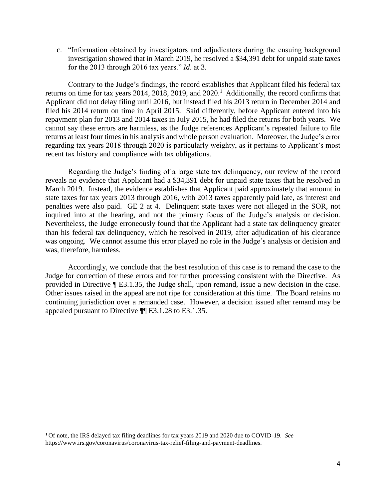c. "Information obtained by investigators and adjudicators during the ensuing background investigation showed that in March 2019, he resolved a \$34,391 debt for unpaid state taxes for the 2013 through 2016 tax years." *Id*. at 3.

returns on time for tax years 2014, 2018, 2019, and  $2020<sup>1</sup>$  Additionally, the record confirms that Applicant did not delay filing until 2016, but instead filed his 2013 return in December 2014 and filed his 2014 return on time in April 2015. Said differently, before Applicant entered into his cannot say these errors are harmless, as the Judge references Applicant's repeated failure to file returns at least four times in his analysis and whole person evaluation. Moreover, the Judge's error regarding tax years 2018 through 2020 is particularly weighty, as it pertains to Applicant's most Contrary to the Judge's findings, the record establishes that Applicant filed his federal tax repayment plan for 2013 and 2014 taxes in July 2015, he had filed the returns for both years. We recent tax history and compliance with tax obligations.

 Regarding the Judge's finding of a large state tax delinquency, our review of the record reveals no evidence that Applicant had a \$34,391 debt for unpaid state taxes that he resolved in March 2019. Instead, the evidence establishes that Applicant paid approximately that amount in state taxes for tax years 2013 through 2016, with 2013 taxes apparently paid late, as interest and penalties were also paid. GE 2 at 4. Delinquent state taxes were not alleged in the SOR, not inquired into at the hearing, and not the primary focus of the Judge's analysis or decision. Nevertheless, the Judge erroneously found that the Applicant had a state tax delinquency greater was ongoing. We cannot assume this error played no role in the Judge's analysis or decision and than his federal tax delinquency, which he resolved in 2019, after adjudication of his clearance was, therefore, harmless.

 Judge for correction of these errors and for further processing consistent with the Directive. As provided in Directive ¶ E3.1.35, the Judge shall, upon remand, issue a new decision in the case. Other issues raised in the appeal are not ripe for consideration at this time. The Board retains no continuing jurisdiction over a remanded case. However, a decision issued after remand may be Accordingly, we conclude that the best resolution of this case is to remand the case to the appealed pursuant to Directive ¶¶ E3.1.28 to E3.1.35.

 $\overline{\phantom{a}}$ 

 1 Of note, the IRS delayed tax filing deadlines for tax years 2019 and 2020 due to COVID-19. *See*  https://www.irs.gov/coronavirus/coronavirus-tax-relief-filing-and-payment-deadlines.